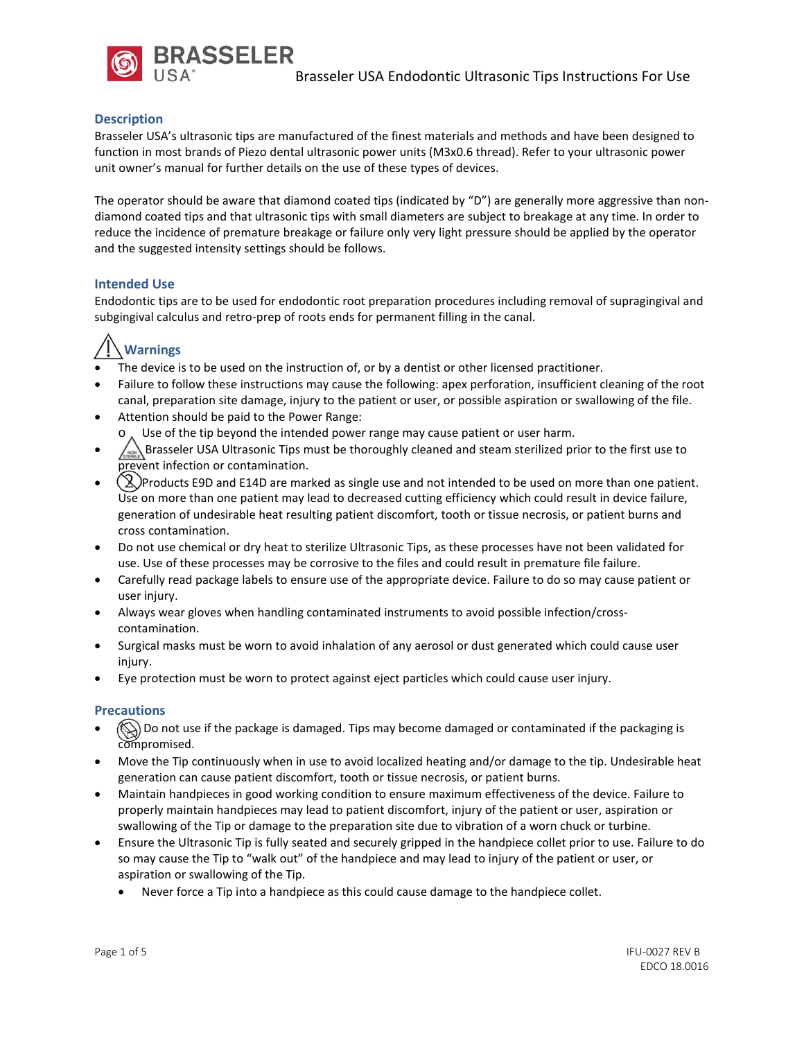

# **Description**

Brasseler USA's ultrasonic tips are manufactured of the finest materials and methods and have been designed to function in most brands of Piezo dental ultrasonic power units (M3x0.6 thread). Refer to your ultrasonic power unit owner's manual for further details on the use of these types of devices.

The operator should be aware that diamond coated tips (indicated by "D") are generally more aggressive than nondiamond coated tips and that ultrasonic tips with small diameters are subject to breakage at any time. In order to reduce the incidence of premature breakage or failure only very light pressure should be applied by the operator and the suggested intensity settings should be follows.

## **Intended Use**

Endodontic tips are to be used for endodontic root preparation procedures including removal of supragingival and subgingival calculus and retro-prep of roots ends for permanent filling in the canal.

# **Warnings**

- The device is to be used on the instruction of, or by a dentist or other licensed practitioner.
- Failure to follow these instructions may cause the following: apex perforation, insufficient cleaning of the root canal, preparation site damage, injury to the patient or user, or possible aspiration or swallowing of the file.
- Attention should be paid to the Power Range: Use of the tip beyond the intended power range may cause patient or user harm.
- Brasseler USA Ultrasonic Tips must be thoroughly cleaned and steam sterilized prior to the first use to prevent infection or contamination.
- $(2)$ Products E9D and E14D are marked as single use and not intended to be used on more than one patient. Use on more than one patient may lead to decreased cutting efficiency which could result in device failure, generation of undesirable heat resulting patient discomfort, tooth or tissue necrosis, or patient burns and cross contamination.
- Do not use chemical or dry heat to sterilize Ultrasonic Tips, as these processes have not been validated for use. Use of these processes may be corrosive to the files and could result in premature file failure.
- Carefully read package labels to ensure use of the appropriate device. Failure to do so may cause patient or user injury.
- Always wear gloves when handling contaminated instruments to avoid possible infection/crosscontamination.
- Surgical masks must be worn to avoid inhalation of any aerosol or dust generated which could cause user injury.
- Eye protection must be worn to protect against eject particles which could cause user injury.

## **Precautions**

- $\circled{N}$  Do not use if the package is damaged. Tips may become damaged or contaminated if the packaging is compromised.
- Move the Tip continuously when in use to avoid localized heating and/or damage to the tip. Undesirable heat generation can cause patient discomfort, tooth or tissue necrosis, or patient burns.
- Maintain handpieces in good working condition to ensure maximum effectiveness of the device. Failure to properly maintain handpieces may lead to patient discomfort, injury of the patient or user, aspiration or swallowing of the Tip or damage to the preparation site due to vibration of a worn chuck or turbine.
- Ensure the Ultrasonic Tip is fully seated and securely gripped in the handpiece collet prior to use. Failure to do so may cause the Tip to "walk out" of the handpiece and may lead to injury of the patient or user, or aspiration or swallowing of the Tip.
	- Never force a Tip into a handpiece as this could cause damage to the handpiece collet.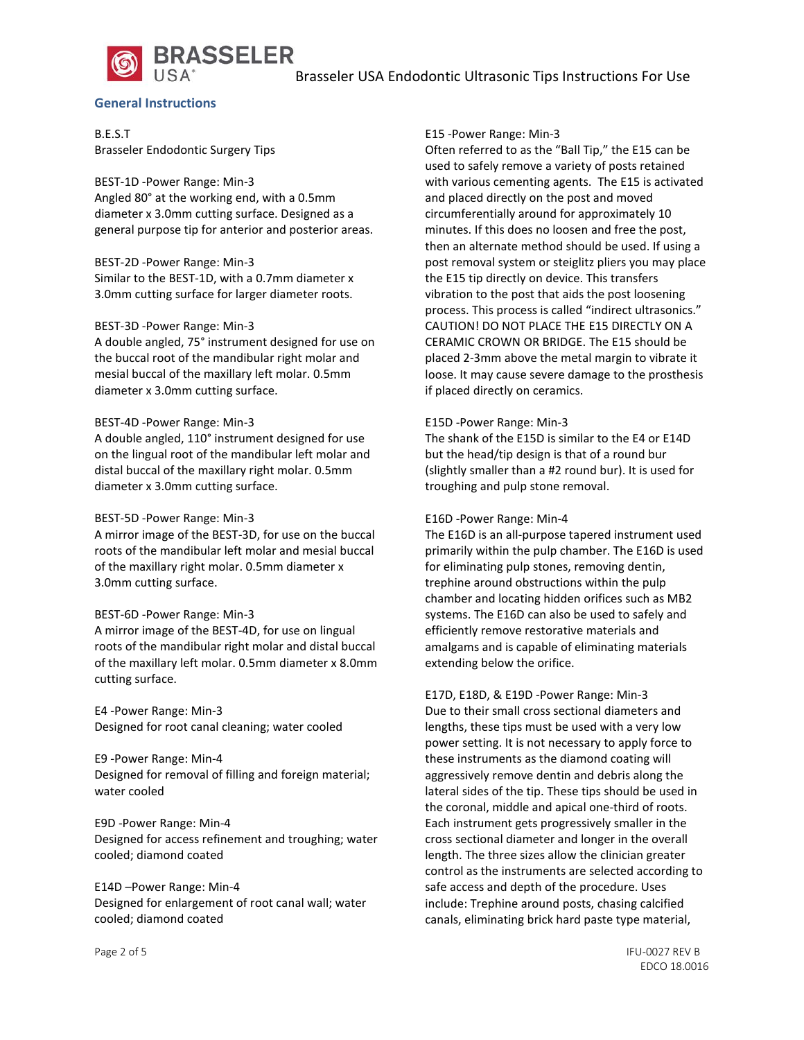



#### **General Instructions**

B.E.S.T Brasseler Endodontic Surgery Tips

BEST-1D -Power Range: Min-3 Angled 80° at the working end, with a 0.5mm diameter x 3.0mm cutting surface. Designed as a general purpose tip for anterior and posterior areas.

#### BEST-2D -Power Range: Min-3

Similar to the BEST-1D, with a 0.7mm diameter x 3.0mm cutting surface for larger diameter roots.

#### BEST-3D -Power Range: Min-3

A double angled, 75° instrument designed for use on the buccal root of the mandibular right molar and mesial buccal of the maxillary left molar. 0.5mm diameter x 3.0mm cutting surface.

#### BEST-4D -Power Range: Min-3

A double angled, 110° instrument designed for use on the lingual root of the mandibular left molar and distal buccal of the maxillary right molar. 0.5mm diameter x 3.0mm cutting surface.

#### BEST-5D -Power Range: Min-3

A mirror image of the BEST-3D, for use on the buccal roots of the mandibular left molar and mesial buccal of the maxillary right molar. 0.5mm diameter x 3.0mm cutting surface.

#### BEST-6D -Power Range: Min-3

A mirror image of the BEST-4D, for use on lingual roots of the mandibular right molar and distal buccal of the maxillary left molar. 0.5mm diameter x 8.0mm cutting surface.

E4 -Power Range: Min-3 Designed for root canal cleaning; water cooled

E9 -Power Range: Min-4 Designed for removal of filling and foreign material; water cooled

E9D -Power Range: Min-4 Designed for access refinement and troughing; water cooled; diamond coated

E14D –Power Range: Min-4 Designed for enlargement of root canal wall; water cooled; diamond coated

#### E15 -Power Range: Min-3

Often referred to as the "Ball Tip," the E15 can be used to safely remove a variety of posts retained with various cementing agents. The E15 is activated and placed directly on the post and moved circumferentially around for approximately 10 minutes. If this does no loosen and free the post, then an alternate method should be used. If using a post removal system or steiglitz pliers you may place the E15 tip directly on device. This transfers vibration to the post that aids the post loosening process. This process is called "indirect ultrasonics." CAUTION! DO NOT PLACE THE E15 DIRECTLY ON A CERAMIC CROWN OR BRIDGE. The E15 should be placed 2-3mm above the metal margin to vibrate it loose. It may cause severe damage to the prosthesis if placed directly on ceramics.

#### E15D -Power Range: Min-3

The shank of the E15D is similar to the E4 or E14D but the head/tip design is that of a round bur (slightly smaller than a #2 round bur). It is used for troughing and pulp stone removal.

#### E16D -Power Range: Min-4

The E16D is an all-purpose tapered instrument used primarily within the pulp chamber. The E16D is used for eliminating pulp stones, removing dentin, trephine around obstructions within the pulp chamber and locating hidden orifices such as MB2 systems. The E16D can also be used to safely and efficiently remove restorative materials and amalgams and is capable of eliminating materials extending below the orifice.

E17D, E18D, & E19D -Power Range: Min-3 Due to their small cross sectional diameters and lengths, these tips must be used with a very low power setting. It is not necessary to apply force to these instruments as the diamond coating will aggressively remove dentin and debris along the lateral sides of the tip. These tips should be used in the coronal, middle and apical one-third of roots. Each instrument gets progressively smaller in the cross sectional diameter and longer in the overall length. The three sizes allow the clinician greater control as the instruments are selected according to safe access and depth of the procedure. Uses include: Trephine around posts, chasing calcified canals, eliminating brick hard paste type material,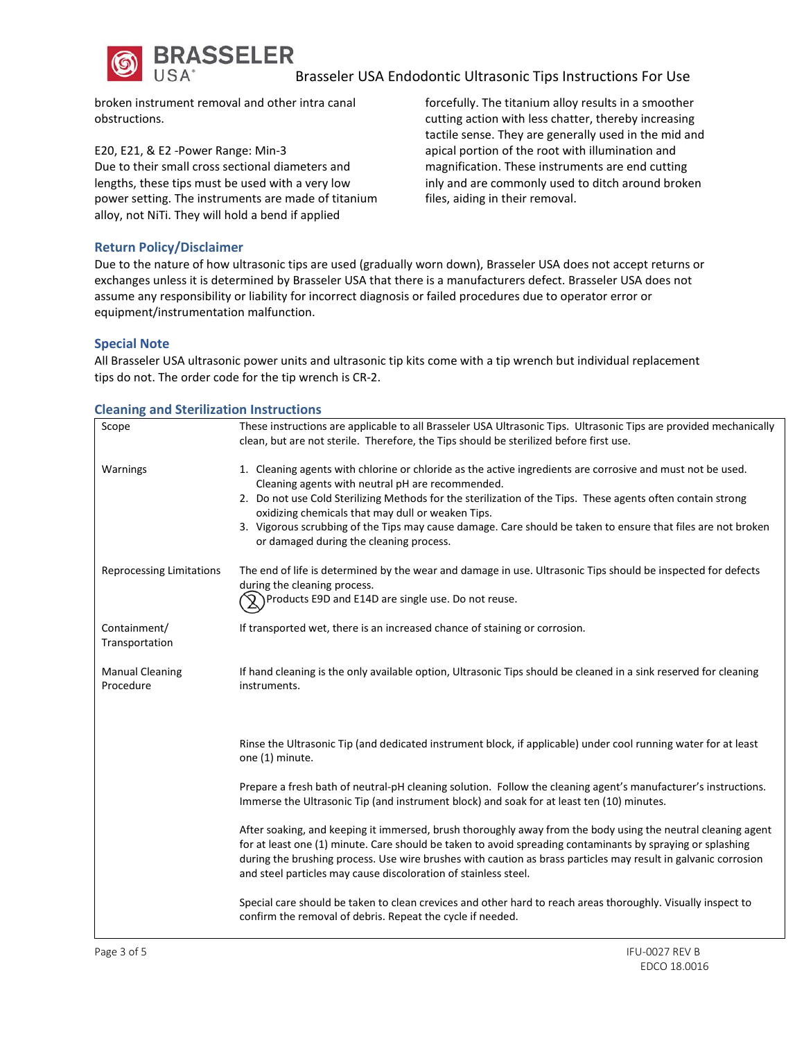

Brasseler USA Endodontic Ultrasonic Tips Instructions For Use

broken instrument removal and other intra canal obstructions.

E20, E21, & E2 -Power Range: Min-3 Due to their small cross sectional diameters and lengths, these tips must be used with a very low power setting. The instruments are made of titanium alloy, not NiTi. They will hold a bend if applied

forcefully. The titanium alloy results in a smoother cutting action with less chatter, thereby increasing tactile sense. They are generally used in the mid and apical portion of the root with illumination and magnification. These instruments are end cutting inly and are commonly used to ditch around broken files, aiding in their removal.

# **Return Policy/Disclaimer**

Due to the nature of how ultrasonic tips are used (gradually worn down), Brasseler USA does not accept returns or exchanges unless it is determined by Brasseler USA that there is a manufacturers defect. Brasseler USA does not assume any responsibility or liability for incorrect diagnosis or failed procedures due to operator error or equipment/instrumentation malfunction.

#### **Special Note**

All Brasseler USA ultrasonic power units and ultrasonic tip kits come with a tip wrench but individual replacement tips do not. The order code for the tip wrench is CR-2.

#### **Cleaning and Sterilization Instructions**

| Scope                               | These instructions are applicable to all Brasseler USA Ultrasonic Tips. Ultrasonic Tips are provided mechanically                                                                                                                                                                                                                                                                                                                                                                             |  |  |  |  |
|-------------------------------------|-----------------------------------------------------------------------------------------------------------------------------------------------------------------------------------------------------------------------------------------------------------------------------------------------------------------------------------------------------------------------------------------------------------------------------------------------------------------------------------------------|--|--|--|--|
|                                     | clean, but are not sterile. Therefore, the Tips should be sterilized before first use.                                                                                                                                                                                                                                                                                                                                                                                                        |  |  |  |  |
| Warnings                            | 1. Cleaning agents with chlorine or chloride as the active ingredients are corrosive and must not be used.<br>Cleaning agents with neutral pH are recommended.<br>2. Do not use Cold Sterilizing Methods for the sterilization of the Tips. These agents often contain strong<br>oxidizing chemicals that may dull or weaken Tips.<br>3. Vigorous scrubbing of the Tips may cause damage. Care should be taken to ensure that files are not broken<br>or damaged during the cleaning process. |  |  |  |  |
| <b>Reprocessing Limitations</b>     | The end of life is determined by the wear and damage in use. Ultrasonic Tips should be inspected for defects<br>during the cleaning process.<br>Products E9D and E14D are single use. Do not reuse.                                                                                                                                                                                                                                                                                           |  |  |  |  |
| Containment/<br>Transportation      | If transported wet, there is an increased chance of staining or corrosion.                                                                                                                                                                                                                                                                                                                                                                                                                    |  |  |  |  |
| <b>Manual Cleaning</b><br>Procedure | If hand cleaning is the only available option, Ultrasonic Tips should be cleaned in a sink reserved for cleaning<br>instruments.                                                                                                                                                                                                                                                                                                                                                              |  |  |  |  |
|                                     | Rinse the Ultrasonic Tip (and dedicated instrument block, if applicable) under cool running water for at least<br>one (1) minute.                                                                                                                                                                                                                                                                                                                                                             |  |  |  |  |
|                                     | Prepare a fresh bath of neutral-pH cleaning solution. Follow the cleaning agent's manufacturer's instructions.<br>Immerse the Ultrasonic Tip (and instrument block) and soak for at least ten (10) minutes.                                                                                                                                                                                                                                                                                   |  |  |  |  |
|                                     | After soaking, and keeping it immersed, brush thoroughly away from the body using the neutral cleaning agent<br>for at least one (1) minute. Care should be taken to avoid spreading contaminants by spraying or splashing<br>during the brushing process. Use wire brushes with caution as brass particles may result in galvanic corrosion<br>and steel particles may cause discoloration of stainless steel.                                                                               |  |  |  |  |
|                                     | Special care should be taken to clean crevices and other hard to reach areas thoroughly. Visually inspect to<br>confirm the removal of debris. Repeat the cycle if needed.                                                                                                                                                                                                                                                                                                                    |  |  |  |  |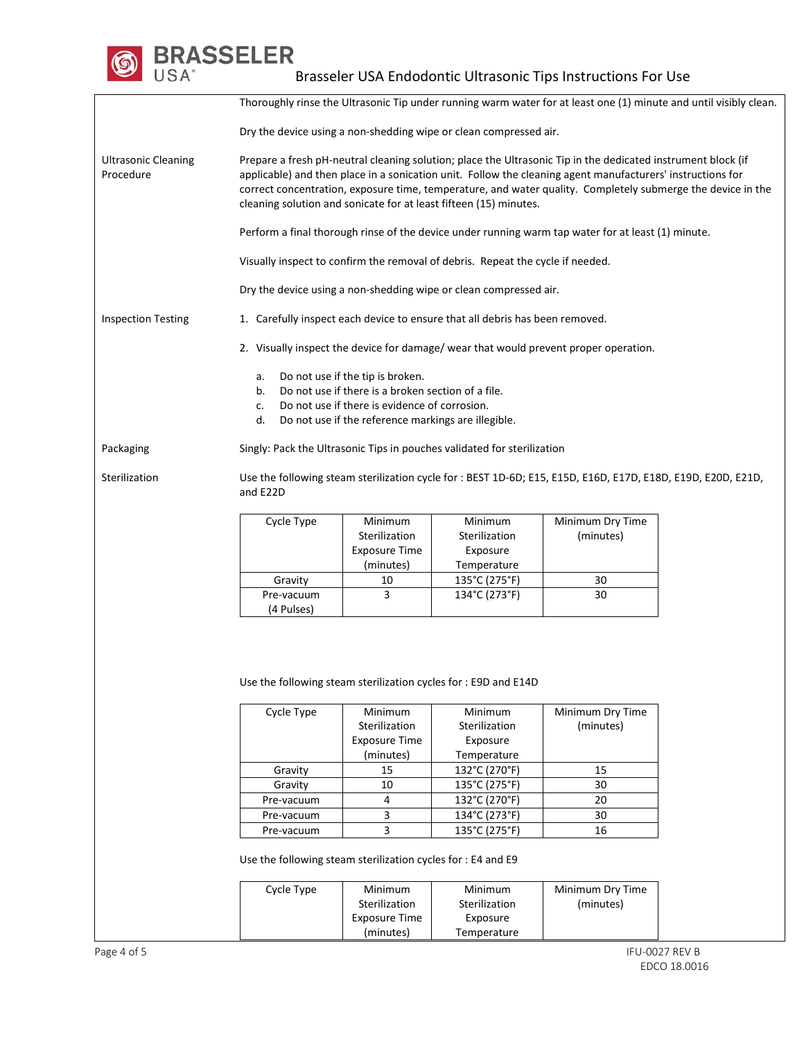**BRASSELER** 

Brasseler USA Endodontic Ultrasonic Tips Instructions For Use

Thoroughly rinse the Ultrasonic Tip under running warm water for at least one (1) minute and until visibly clean. Dry the device using a non-shedding wipe or clean compressed air. Ultrasonic Cleaning Procedure Prepare a fresh pH-neutral cleaning solution; place the Ultrasonic Tip in the dedicated instrument block (if applicable) and then place in a sonication unit. Follow the cleaning agent manufacturers' instructions for correct concentration, exposure time, temperature, and water quality. Completely submerge the device in the cleaning solution and sonicate for at least fifteen (15) minutes. Perform a final thorough rinse of the device under running warm tap water for at least (1) minute. Visually inspect to confirm the removal of debris. Repeat the cycle if needed. Dry the device using a non-shedding wipe or clean compressed air. Inspection Testing 1. Carefully inspect each device to ensure that all debris has been removed. 2. Visually inspect the device for damage/ wear that would prevent proper operation. a. Do not use if the tip is broken. b. Do not use if there is a broken section of a file. c. Do not use if there is evidence of corrosion. d. Do not use if the reference markings are illegible. Packaging Singly: Pack the Ultrasonic Tips in pouches validated for sterilization Sterilization Use the following steam sterilization cycle for : BEST 1D-6D; E15, E15D, E16D, E17D, E18D, E19D, E20D, E21D, and E22D Cycle Type Minimum Sterilization Exposure Time (minutes) Minimum Sterilization Exposure Temperature Minimum Dry Time (minutes) Gravity 10 135°C (275°F) 30 Pre-vacuum (4 Pulses) 3 134°C (273°F) 30 Use the following steam sterilization cycles for : E9D and E14D Cycle Type Minimum **Sterilization** Exposure Time (minutes) Minimum Sterilization Exposure Temperature Minimum Dry Time (minutes) Gravity | 15 | 132°C (270°F) | 15 Gravity 10 135°C (275°F) 30 Pre-vacuum | 4 | 132°C (270°F) | 20 Pre-vacuum 3 134°C (273°F) 30 Pre-vacuum 3 135°C (275°F) 16 Use the following steam sterilization cycles for : E4 and E9 Cycle Type Minimum Sterilization Exposure Time Minimum Sterilization Exposure Minimum Dry Time (minutes)

(minutes)

Temperature